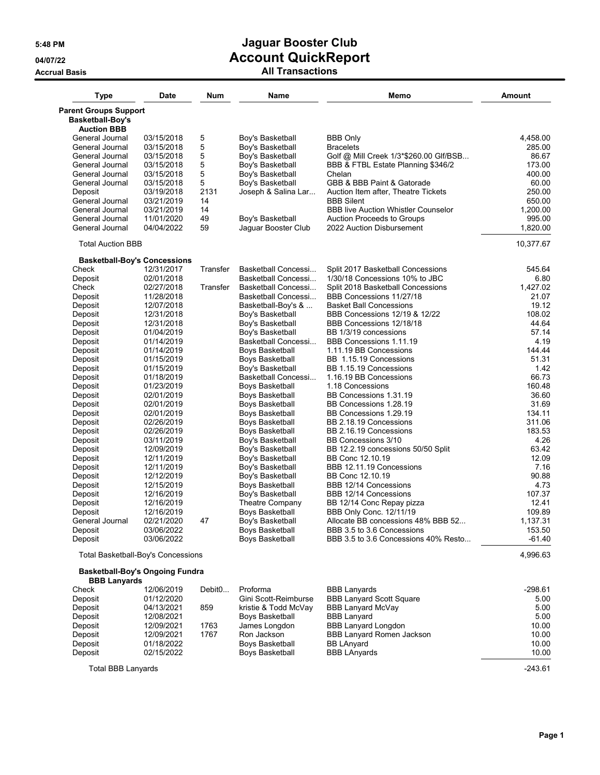## **Accrual Basis All Transactions**

| <b>Type</b>                                             | <b>Date</b> | <b>Num</b> | Name                   | Memo                                       | <b>Amount</b> |
|---------------------------------------------------------|-------------|------------|------------------------|--------------------------------------------|---------------|
| <b>Parent Groups Support</b><br><b>Basketball-Boy's</b> |             |            |                        |                                            |               |
| <b>Auction BBB</b>                                      |             |            |                        |                                            |               |
| General Journal                                         | 03/15/2018  | 5          | Boy's Basketball       | <b>BBB Only</b>                            | 4,458.00      |
| General Journal                                         | 03/15/2018  | 5          | Boy's Basketball       | <b>Bracelets</b>                           | 285.00        |
| General Journal                                         | 03/15/2018  | 5          | Boy's Basketball       | Golf @ Mill Creek 1/3*\$260.00 Glf/BSB     | 86.67         |
| General Journal                                         | 03/15/2018  | 5          | Boy's Basketball       | BBB & FTBL Estate Planning \$346/2         | 173.00        |
| General Journal                                         | 03/15/2018  | 5          | Boy's Basketball       | Chelan                                     | 400.00        |
| General Journal                                         | 03/15/2018  | 5          | Boy's Basketball       | GBB & BBB Paint & Gatorade                 | 60.00         |
| Deposit                                                 | 03/19/2018  | 2131       | Joseph & Salina Lar    | Auction Item after, Theatre Tickets        | 250.00        |
| General Journal                                         | 03/21/2019  | 14         |                        | <b>BBB Silent</b>                          | 650.00        |
| General Journal                                         | 03/21/2019  | 14         |                        | <b>BBB live Auction Whistler Counselor</b> | 1.200.00      |
| General Journal                                         | 11/01/2020  | 49         | Boy's Basketball       | <b>Auction Proceeds to Groups</b>          | 995.00        |
| General Journal                                         | 04/04/2022  | 59         | Jaguar Booster Club    | 2022 Auction Disbursement                  | 1,820.00      |
| <b>Total Auction BBB</b>                                |             |            |                        |                                            | 10,377.67     |
| <b>Basketball-Boy's Concessions</b>                     |             |            |                        |                                            |               |
| Check                                                   | 12/31/2017  | Transfer   | Basketball Concessi    | Split 2017 Basketball Concessions          | 545.64        |
| Deposit                                                 | 02/01/2018  |            | Basketball Concessi    | 1/30/18 Concessions 10% to JBC             | 6.80          |
| Check                                                   | 02/27/2018  | Transfer   | Basketball Concessi    | Split 2018 Basketball Concessions          | 1,427.02      |
| Deposit                                                 | 11/28/2018  |            | Basketball Concessi    | BBB Concessions 11/27/18                   | 21.07         |
| Deposit                                                 | 12/07/2018  |            | Basketball-Boy's &     | <b>Basket Ball Concessions</b>             | 19.12         |
| Deposit                                                 | 12/31/2018  |            | Boy's Basketball       | BBB Concessions 12/19 & 12/22              | 108.02        |
| Deposit                                                 | 12/31/2018  |            | Boy's Basketball       | BBB Concessions 12/18/18                   | 44.64         |
| Deposit                                                 | 01/04/2019  |            | Boy's Basketball       | BB 1/3/19 concessions                      | 57.14         |
| Deposit                                                 | 01/14/2019  |            | Basketball Concessi    | BBB Concessions 1.11.19                    | 4.19          |
| Deposit                                                 | 01/14/2019  |            | Boys Basketball        | 1.11.19 BB Concessions                     | 144.44        |
| Deposit                                                 | 01/15/2019  |            | Boys Basketball        | BB 1.15.19 Concessions                     | 51.31         |
| Deposit                                                 | 01/15/2019  |            | Boy's Basketball       | BB 1.15.19 Concessions                     | 1.42          |
| Deposit                                                 | 01/18/2019  |            | Basketball Concessi    | 1.16.19 BB Concessions                     | 66.73         |
| Deposit                                                 | 01/23/2019  |            | Boys Basketball        | 1.18 Concessions                           | 160.48        |
| Deposit                                                 | 02/01/2019  |            | <b>Boys Basketball</b> | BB Concessions 1.31.19                     | 36.60         |
| Deposit                                                 | 02/01/2019  |            | Boys Basketball        | BB Concessions 1.28.19                     | 31.69         |
| Deposit                                                 | 02/01/2019  |            | <b>Boys Basketball</b> | BB Concessions 1.29.19                     | 134.11        |
| Deposit                                                 | 02/26/2019  |            | Boys Basketball        | BB 2.18.19 Concessions                     | 311.06        |
| Deposit                                                 | 02/26/2019  |            | Boys Basketball        | BB 2.16.19 Concessions                     | 183.53        |
|                                                         |             |            |                        | BB Concessions 3/10                        | 4.26          |
| Deposit                                                 | 03/11/2019  |            | Boy's Basketball       |                                            | 63.42         |
| Deposit                                                 | 12/09/2019  |            | Boy's Basketball       | BB 12.2.19 concessions 50/50 Split         |               |
| Deposit                                                 | 12/11/2019  |            | Boy's Basketball       | BB Conc 12.10.19                           | 12.09         |
| Deposit                                                 | 12/11/2019  |            | Boy's Basketball       | BBB 12.11.19 Concessions                   | 7.16          |
| Deposit                                                 | 12/12/2019  |            | Boy's Basketball       | BB Conc 12.10.19                           | 90.88         |
| Deposit                                                 | 12/15/2019  |            | Boys Basketball        | BBB 12/14 Concessions                      | 4.73          |
| Deposit                                                 | 12/16/2019  |            | Boy's Basketball       | BBB 12/14 Concessions                      | 107.37        |
| Deposit                                                 | 12/16/2019  |            | Theatre Company        | BB 12/14 Conc Repay pizza                  | 12.41         |
| Deposit                                                 | 12/16/2019  |            | Boys Basketball        | BBB Only Conc. 12/11/19                    | 109.89        |
| General Journal                                         | 02/21/2020  | 47         | Boy's Basketball       | Allocate BB concessions 48% BBB 52         | 1,137.31      |
| Deposit                                                 | 03/06/2022  |            | Boys Basketball        | BBB 3.5 to 3.6 Concessions                 | 153.50        |
| Deposit                                                 | 03/06/2022  |            | Boys Basketball        | BBB 3.5 to 3.6 Concessions 40% Resto       | $-61.40$      |
| Total Basketball-Boy's Concessions                      |             |            |                        |                                            | 4,996.63      |

**Basketball-Boy's Ongoing Fundra**

| <b>BBB Lanyards</b> |                    |                        |                                  |           |
|---------------------|--------------------|------------------------|----------------------------------|-----------|
| 12/06/2019          | Debit <sub>0</sub> | Proforma               | <b>BBB Lanyards</b>              | $-298.61$ |
| 01/12/2020          |                    | Gini Scott-Reimburse   | <b>BBB Lanyard Scott Square</b>  | 5.00      |
| 04/13/2021          | 859                | kristie & Todd McVay   | <b>BBB Lanyard McVay</b>         | 5.00      |
| 12/08/2021          |                    | Boys Basketball        | <b>BBB Lanyard</b>               | 5.00      |
| 12/09/2021          | 1763               | James Longdon          | <b>BBB Lanyard Longdon</b>       | 10.00     |
| 12/09/2021          | 1767               | Ron Jackson            | <b>BBB Lanyard Romen Jackson</b> | 10.00     |
| 01/18/2022          |                    | Boys Basketball        | <b>BB LAnyard</b>                | 10.00     |
| 02/15/2022          |                    | <b>Boys Basketball</b> | <b>BBB LAnyards</b>              | 10.00     |
|                     |                    |                        |                                  |           |

Total BBB Lanyards -243.61

**Page 1**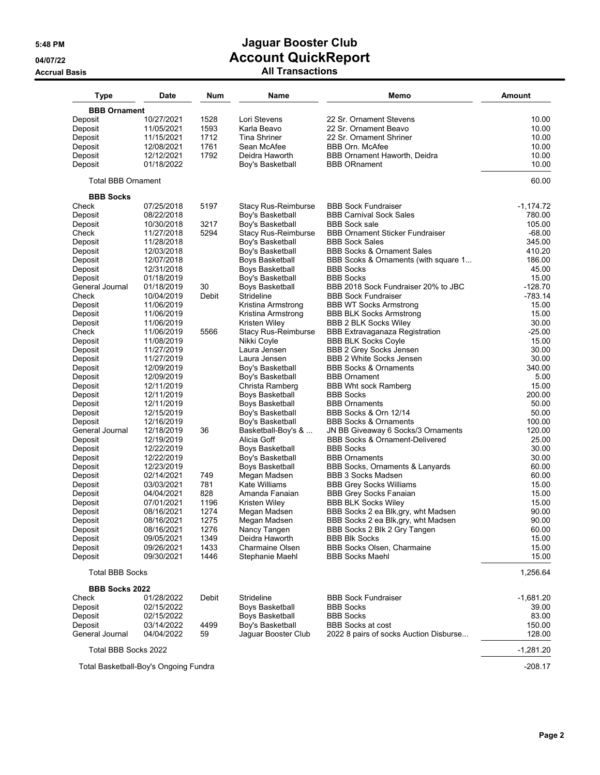## **5:48 PM Jaguar Booster Club 04/07/22 Account QuickReport Accrual Basis All Transactions**

| <b>Type</b>                           | Date                     | <b>Num</b>   | Name                                      | Memo                                                     | <b>Amount</b>    |
|---------------------------------------|--------------------------|--------------|-------------------------------------------|----------------------------------------------------------|------------------|
| <b>BBB Ornament</b>                   |                          |              |                                           |                                                          |                  |
| Deposit                               | 10/27/2021               | 1528         | Lori Stevens                              | 22 Sr. Ornament Stevens                                  | 10.00            |
| Deposit                               | 11/05/2021               | 1593         | Karla Beavo                               | 22 Sr. Ornament Beavo                                    | 10.00            |
| Deposit                               | 11/15/2021               | 1712         | <b>Tina Shriner</b>                       | 22 Sr. Ornament Shriner                                  | 10.00            |
| Deposit                               | 12/08/2021               | 1761         | Sean McAfee                               | <b>BBB Orn. McAfee</b>                                   | 10.00            |
| Deposit                               | 12/12/2021               | 1792         | Deidra Haworth                            | BBB Ornament Haworth, Deidra                             | 10.00            |
| Deposit                               | 01/18/2022               |              | Boy's Basketball                          | <b>BBB ORnament</b>                                      | 10.00            |
| <b>Total BBB Ornament</b>             |                          |              |                                           |                                                          | 60.00            |
| <b>BBB Socks</b>                      |                          |              |                                           |                                                          |                  |
| Check                                 | 07/25/2018               | 5197         | <b>Stacy Rus-Reimburse</b>                | <b>BBB Sock Fundraiser</b>                               | $-1,174.72$      |
| Deposit                               | 08/22/2018               |              | Boy's Basketball                          | <b>BBB Carnival Sock Sales</b>                           | 780.00           |
| Deposit                               | 10/30/2018               | 3217         | Boy's Basketball                          | <b>BBB Sock sale</b>                                     | 105.00           |
| Check                                 | 11/27/2018               | 5294         | <b>Stacy Rus-Reimburse</b>                | <b>BBB Ornament Sticker Fundraiser</b>                   | $-68.00$         |
| Deposit                               | 11/28/2018               |              | Boy's Basketball                          | <b>BBB Sock Sales</b>                                    | 345.00           |
| Deposit                               | 12/03/2018<br>12/07/2018 |              | Boy's Basketball                          | <b>BBB Socks &amp; Ornament Sales</b>                    | 410.20<br>186.00 |
| Deposit<br>Deposit                    | 12/31/2018               |              | Boys Basketball<br>Boys Basketball        | BBB Scoks & Ornaments (with square 1<br><b>BBB Socks</b> | 45.00            |
| Deposit                               | 01/18/2019               |              | Boy's Basketball                          | <b>BBB Socks</b>                                         | 15.00            |
| General Journal                       | 01/18/2019               | 30           | Boys Basketball                           | BBB 2018 Sock Fundraiser 20% to JBC                      | $-128.70$        |
| Check                                 | 10/04/2019               | Debit        | Strideline                                | <b>BBB Sock Fundraiser</b>                               | $-783.14$        |
| Deposit                               | 11/06/2019               |              | Kristina Armstrong                        | <b>BBB WT Socks Armstrong</b>                            | 15.00            |
| Deposit                               | 11/06/2019               |              | Kristina Armstrong                        | <b>BBB BLK Socks Armstrong</b>                           | 15.00            |
| Deposit                               | 11/06/2019               |              | Kristen Wiley                             | <b>BBB 2 BLK Socks Wiley</b>                             | 30.00            |
| Check                                 | 11/06/2019               | 5566         | Stacy Rus-Reimburse                       | <b>BBB Extravaganaza Registration</b>                    | $-25.00$         |
| Deposit                               | 11/08/2019               |              | Nikki Coyle                               | <b>BBB BLK Socks Coyle</b>                               | 15.00            |
| Deposit                               | 11/27/2019               |              | Laura Jensen                              | <b>BBB 2 Grey Socks Jensen</b>                           | 30.00            |
| Deposit                               | 11/27/2019               |              | Laura Jensen                              | <b>BBB 2 White Socks Jensen</b>                          | 30.00            |
| Deposit                               | 12/09/2019               |              | Boy's Basketball                          | <b>BBB Socks &amp; Ornaments</b>                         | 340.00           |
| Deposit                               | 12/09/2019               |              | Boy's Basketball                          | <b>BBB Ornament</b>                                      | 5.00             |
| Deposit                               | 12/11/2019               |              | Christa Ramberg                           | <b>BBB Wht sock Ramberg</b>                              | 15.00            |
| Deposit                               | 12/11/2019               |              | Boys Basketball                           | <b>BBB Socks</b>                                         | 200.00           |
| Deposit                               | 12/11/2019               |              | Boys Basketball                           | <b>BBB Ornaments</b>                                     | 50.00            |
| Deposit                               | 12/15/2019               |              | Boy's Basketball                          | BBB Socks & Orn 12/14                                    | 50.00            |
| Deposit                               | 12/16/2019               |              | Boy's Basketball                          | <b>BBB Socks &amp; Ornaments</b>                         | 100.00           |
| General Journal                       | 12/18/2019               | 36           | Basketball-Boy's &                        | JN BB Giveaway 6 Socks/3 Ornaments                       | 120.00           |
| Deposit                               | 12/19/2019               |              | Alicia Goff                               | <b>BBB Socks &amp; Ornament-Delivered</b>                | 25.00            |
| Deposit                               | 12/22/2019               |              | Boys Basketball                           | <b>BBB Socks</b>                                         | 30.00            |
| Deposit                               | 12/22/2019               |              | Boy's Basketball                          | <b>BBB Ornaments</b>                                     | 30.00            |
| Deposit                               | 12/23/2019               |              | Boys Basketball                           | BBB Socks, Ornaments & Lanyards                          | 60.00            |
| Deposit                               | 02/14/2021               | 749          | Megan Madsen                              | <b>BBB 3 Socks Madsen</b>                                | 60.00            |
| Deposit                               | 03/03/2021               | 781          | Kate Williams                             | <b>BBB Grey Socks Williams</b>                           | 15.00            |
| Deposit                               | 04/04/2021               | 828          | Amanda Fanaian                            | <b>BBB Grey Socks Fanaian</b>                            | 15.00            |
| Deposit                               | 07/01/2021               | 1196         | Kristen Wiley                             | <b>BBB BLK Socks Wiley</b>                               | 15.00            |
| Deposit                               | 08/16/2021               | 1274         | Megan Madsen                              | BBB Socks 2 ea Blk, gry, wht Madsen                      | 90.00            |
| Deposit                               | 08/16/2021               | 1275         | Megan Madsen                              | BBB Socks 2 ea Blk, gry, wht Madsen                      | 90.00            |
| Deposit                               | 08/16/2021               | 1276         | Nancy Tangen                              | BBB Socks 2 Blk 2 Gry Tangen                             | 60.00            |
| Deposit                               | 09/05/2021               | 1349         | Deidra Haworth                            | <b>BBB Blk Socks</b>                                     | 15.00            |
| Deposit<br>Deposit                    | 09/26/2021<br>09/30/2021 | 1433<br>1446 | <b>Charmaine Olsen</b><br>Stephanie Maehl | BBB Socks Olsen, Charmaine<br><b>BBB Socks Maehl</b>     | 15.00<br>15.00   |
| <b>Total BBB Socks</b>                |                          |              |                                           |                                                          | 1,256.64         |
| <b>BBB Socks 2022</b>                 |                          |              |                                           |                                                          |                  |
| Check                                 | 01/28/2022               | Debit        | Strideline                                | <b>BBB Sock Fundraiser</b>                               | $-1,681.20$      |
| Deposit                               | 02/15/2022               |              | Boys Basketball                           | <b>BBB Socks</b>                                         | 39.00            |
| Deposit                               | 02/15/2022               |              | Boys Basketball                           | <b>BBB Socks</b>                                         | 83.00            |
| Deposit                               | 03/14/2022               | 4499         | Boy's Basketball                          | <b>BBB Socks at cost</b>                                 | 150.00           |
| General Journal                       | 04/04/2022               | 59           | Jaquar Booster Club                       | 2022 8 pairs of socks Auction Disburse                   | 128.00           |
| Total BBB Socks 2022                  |                          |              |                                           |                                                          | $-1,281.20$      |
| Total Basketball-Boy's Ongoing Fundra |                          |              |                                           |                                                          | $-208.17$        |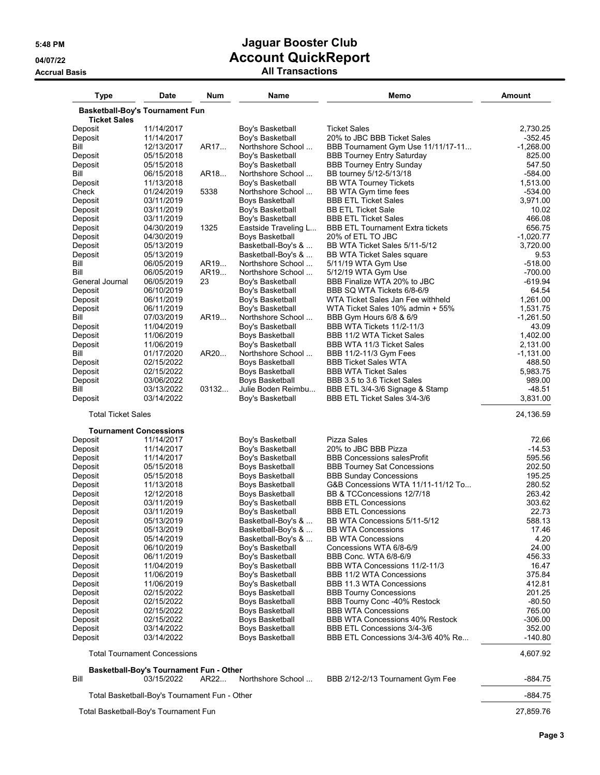| <b>Type</b>                            | Date                                                  | Num   | Name                                       | Memo                                                                 | <b>Amount</b>         |
|----------------------------------------|-------------------------------------------------------|-------|--------------------------------------------|----------------------------------------------------------------------|-----------------------|
| <b>Basketball-Boy's Tournament Fun</b> |                                                       |       |                                            |                                                                      |                       |
| <b>Ticket Sales</b>                    |                                                       |       |                                            |                                                                      |                       |
| Deposit                                | 11/14/2017                                            |       | Boy's Basketball                           | <b>Ticket Sales</b>                                                  | 2,730.25              |
| Deposit                                | 11/14/2017                                            |       | Boy's Basketball                           | 20% to JBC BBB Ticket Sales                                          | -352.45               |
| Bill                                   | 12/13/2017                                            | AR17  | Northshore School                          | BBB Tournament Gym Use 11/11/17-11                                   | $-1,268.00$<br>825.00 |
| Deposit<br>Deposit                     | 05/15/2018<br>05/15/2018                              |       | Boy's Basketball<br>Boy's Basketball       | <b>BBB Tourney Entry Saturday</b><br><b>BBB Tourney Entry Sunday</b> | 547.50                |
| Bill                                   | 06/15/2018                                            | AR18  | Northshore School                          | BB tourney 5/12-5/13/18                                              | $-584.00$             |
| Deposit                                | 11/13/2018                                            |       | Boy's Basketball                           | <b>BB WTA Tourney Tickets</b>                                        | 1,513.00              |
| Check                                  | 01/24/2019                                            | 5338  | Northshore School                          | BB WTA Gym time fees                                                 | $-534.00$             |
| Deposit                                | 03/11/2019                                            |       | Boys Basketball                            | <b>BBB ETL Ticket Sales</b>                                          | 3,971.00              |
| Deposit                                | 03/11/2019                                            |       | Boy's Basketball                           | <b>BB ETL Ticket Sale</b>                                            | 10.02                 |
| Deposit                                | 03/11/2019                                            |       | Boy's Basketball                           | <b>BBB ETL Ticket Sales</b>                                          | 466.08                |
| Deposit                                | 04/30/2019                                            | 1325  | Eastside Traveling L                       | <b>BBB ETL Tournament Extra tickets</b>                              | 656.75                |
| Deposit                                | 04/30/2019                                            |       | Boys Basketball                            | 20% of ETL TO JBC                                                    | $-1,020.77$           |
| Deposit                                | 05/13/2019                                            |       | Basketball-Boy's &                         | BB WTA Ticket Sales 5/11-5/12                                        | 3,720.00              |
| Deposit                                | 05/13/2019                                            |       | Basketball-Boy's &                         | <b>BB WTA Ticket Sales square</b>                                    | 9.53                  |
| Bill                                   | 06/05/2019                                            | AR19  | Northshore School                          | 5/11/19 WTA Gym Use                                                  | $-518.00$             |
| Bill<br>General Journal                | 06/05/2019                                            | AR19  | Northshore School                          | 5/12/19 WTA Gym Use                                                  | $-700.00$             |
| Deposit                                | 06/05/2019<br>06/10/2019                              | 23    | Boy's Basketball                           | BBB Finalize WTA 20% to JBC<br>BBB SQ WTA Tickets 6/8-6/9            | $-619.94$<br>64.54    |
| Deposit                                | 06/11/2019                                            |       | Boy's Basketball<br>Boy's Basketball       | WTA Ticket Sales Jan Fee withheld                                    | 1,261.00              |
| Deposit                                | 06/11/2019                                            |       | Boy's Basketball                           | WTA Ticket Sales 10% admin + 55%                                     | 1,531.75              |
| Bill                                   | 07/03/2019                                            | AR19  | Northshore School                          | BBB Gym Hours 6/8 & 6/9                                              | $-1,261.50$           |
| Deposit                                | 11/04/2019                                            |       | Boy's Basketball                           | BBB WTA Tickets 11/2-11/3                                            | 43.09                 |
| Deposit                                | 11/06/2019                                            |       | <b>Boys Basketball</b>                     | BBB 11/2 WTA Ticket Sales                                            | 1,402.00              |
| Deposit                                | 11/06/2019                                            |       | Boy's Basketball                           | BBB WTA 11/3 Ticket Sales                                            | 2,131.00              |
| Bill                                   | 01/17/2020                                            | AR20  | Northshore School                          | BBB 11/2-11/3 Gym Fees                                               | $-1,131.00$           |
| Deposit                                | 02/15/2022                                            |       | Boys Basketball                            | <b>BBB Ticket Sales WTA</b>                                          | 488.50                |
| Deposit                                | 02/15/2022                                            |       | Boys Basketball                            | <b>BBB WTA Ticket Sales</b>                                          | 5,983.75              |
| Deposit                                | 03/06/2022                                            |       | Boys Basketball                            | BBB 3.5 to 3.6 Ticket Sales                                          | 989.00                |
| Bill                                   | 03/13/2022                                            | 03132 | Julie Boden Reimbu                         | BBB ETL 3/4-3/6 Signage & Stamp                                      | $-48.51$              |
| Deposit                                | 03/14/2022                                            |       | Boy's Basketball                           | BBB ETL Ticket Sales 3/4-3/6                                         | 3,831.00              |
| <b>Total Ticket Sales</b>              |                                                       |       |                                            |                                                                      | 24,136.59             |
|                                        | <b>Tournament Concessions</b>                         |       |                                            |                                                                      |                       |
| Deposit                                | 11/14/2017                                            |       | Boy's Basketball                           | Pizza Sales                                                          | 72.66                 |
| Deposit                                | 11/14/2017                                            |       | Boy's Basketball                           | 20% to JBC BBB Pizza<br><b>BBB Concessions salesProfit</b>           | $-14.53$<br>595.56    |
| Deposit<br>Deposit                     | 11/14/2017<br>05/15/2018                              |       | Boy's Basketball<br><b>Boys Basketball</b> | <b>BBB Tourney Sat Concessions</b>                                   | 202.50                |
| Deposit                                | 05/15/2018                                            |       | Boys Basketball                            | <b>BBB Sunday Concessions</b>                                        | 195.25                |
| Deposit                                | 11/13/2018                                            |       | Boys Basketball                            | G&B Concessions WTA 11/11-11/12 To                                   | 280.52                |
| Deposit                                | 12/12/2018                                            |       | Boys Basketball                            | BB & TCConcessions 12/7/18                                           | 263.42                |
| Deposit                                | 03/11/2019                                            |       | Boy's Basketball                           | <b>BBB ETL Concessions</b>                                           | 303.62                |
| Deposit                                | 03/11/2019                                            |       | Boy's Basketball                           | <b>BBB ETL Concessions</b>                                           | 22.73                 |
| Deposit                                | 05/13/2019                                            |       | Basketball-Boy's &                         | BB WTA Concessions 5/11-5/12                                         | 588.13                |
| Deposit                                | 05/13/2019                                            |       | Basketball-Boy's &                         | <b>BB WTA Concessions</b>                                            | 17.46                 |
| Deposit                                | 05/14/2019                                            |       | Basketball-Boy's &                         | <b>BB WTA Concessions</b>                                            | 4.20                  |
| Deposit                                | 06/10/2019                                            |       | Boy's Basketball                           | Concessions WTA 6/8-6/9                                              | 24.00                 |
| Deposit                                | 06/11/2019                                            |       | Boy's Basketball                           | BBB Conc. WTA 6/8-6/9                                                | 456.33                |
| Deposit                                | 11/04/2019                                            |       | Boy's Basketball                           | BBB WTA Concessions 11/2-11/3                                        | 16.47                 |
| Deposit                                | 11/06/2019                                            |       | Boy's Basketball                           | BBB 11/2 WTA Concessions                                             | 375.84                |
| Deposit<br>Deposit                     | 11/06/2019<br>02/15/2022                              |       | Boy's Basketball<br>Boys Basketball        | BBB 11.3 WTA Concessions<br><b>BBB Tourny Concessions</b>            | 412.81<br>201.25      |
| Deposit                                | 02/15/2022                                            |       | <b>Boys Basketball</b>                     | BBB Tourny Conc -40% Restock                                         | $-80.50$              |
| Deposit                                | 02/15/2022                                            |       | Boys Basketball                            | <b>BBB WTA Concessions</b>                                           | 765.00                |
| Deposit                                | 02/15/2022                                            |       | Boys Basketball                            | <b>BBB WTA Concessions 40% Restock</b>                               | -306.00               |
| Deposit                                | 03/14/2022                                            |       | Boys Basketball                            | BBB ETL Concessions 3/4-3/6                                          | 352.00                |
| Deposit                                | 03/14/2022                                            |       | Boys Basketball                            | BBB ETL Concessions 3/4-3/6 40% Re                                   | -140.80               |
|                                        | <b>Total Tournament Concessions</b>                   |       |                                            |                                                                      | 4,607.92              |
| Bill                                   | Basketball-Boy's Tournament Fun - Other<br>03/15/2022 | AR22  | Northshore School                          | BBB 2/12-2/13 Tournament Gym Fee                                     | $-884.75$             |
|                                        | Total Basketball-Boy's Tournament Fun - Other         |       |                                            |                                                                      | $-884.75$             |
| Total Basketball-Boy's Tournament Fun  |                                                       |       |                                            |                                                                      | 27,859.76             |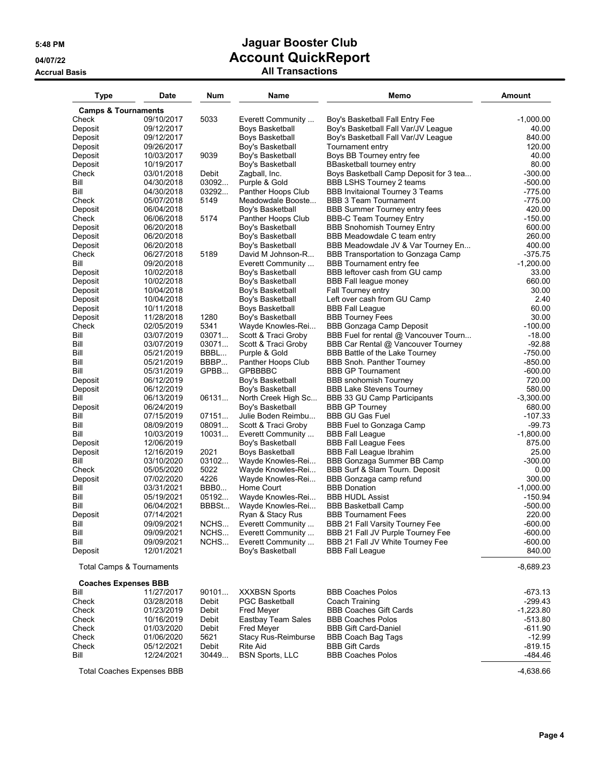| <b>Type</b>                    | Date                              | Num            | Name                                    | Memo                                                               | <b>Amount</b>           |
|--------------------------------|-----------------------------------|----------------|-----------------------------------------|--------------------------------------------------------------------|-------------------------|
| <b>Camps &amp; Tournaments</b> |                                   |                |                                         |                                                                    |                         |
| Check                          | 09/10/2017                        | 5033           | Everett Community                       | Boy's Basketball Fall Entry Fee                                    | $-1,000.00$             |
| Deposit                        | 09/12/2017                        |                | Boys Basketball                         | Boy's Basketball Fall Var/JV League                                | 40.00                   |
| Deposit                        | 09/12/2017                        |                | Boys Basketball                         | Boy's Basketball Fall Var/JV League                                | 840.00                  |
| Deposit                        | 09/26/2017                        |                | Boy's Basketball                        | Tournament entry                                                   | 120.00                  |
| Deposit                        | 10/03/2017                        | 9039           | Boy's Basketball                        | Boys BB Tourney entry fee                                          | 40.00                   |
| Deposit                        | 10/19/2017                        |                | Boy's Basketball                        | BBasketball tourney entry                                          | 80.00                   |
| Check                          | 03/01/2018                        | Debit          | Zagball, Inc.                           | Boys Basketball Camp Deposit for 3 tea                             | $-300.00$               |
| Bill<br>Bill                   | 04/30/2018<br>04/30/2018          | 03092<br>03292 | Purple & Gold<br>Panther Hoops Club     | BBB LSHS Tourney 2 teams<br><b>BBB Invitaional Tourney 3 Teams</b> | $-500.00$<br>$-775.00$  |
| Check                          | 05/07/2018                        | 5149           | Meadowdale Booste                       | <b>BBB 3 Team Tournament</b>                                       | $-775.00$               |
| Deposit                        | 06/04/2018                        |                | Boy's Basketball                        | <b>BBB Summer Tourney entry fees</b>                               | 420.00                  |
| Check                          | 06/06/2018                        | 5174           | Panther Hoops Club                      | <b>BBB-C Team Tourney Entry</b>                                    | $-150.00$               |
| Deposit                        | 06/20/2018                        |                | Boy's Basketball                        | <b>BBB Snohomish Tourney Entry</b>                                 | 600.00                  |
| Deposit                        | 06/20/2018                        |                | Boy's Basketball                        | BBB Meadowdale C team entry                                        | 260.00                  |
| Deposit                        | 06/20/2018                        |                | Boy's Basketball                        | BBB Meadowdale JV & Var Tourney En                                 | 400.00                  |
| Check                          | 06/27/2018                        | 5189           | David M Johnson-R                       | BBB Transportation to Gonzaga Camp                                 | $-375.75$               |
| Bill                           | 09/20/2018                        |                | Everett Community                       | <b>BBB</b> Tournament entry fee                                    | $-1,200.00$             |
| Deposit                        | 10/02/2018                        |                | Boy's Basketball                        | BBB leftover cash from GU camp                                     | 33.00                   |
| Deposit                        | 10/02/2018                        |                | Boy's Basketball                        | BBB Fall league money                                              | 660.00                  |
| Deposit                        | 10/04/2018                        |                | Boy's Basketball                        | Fall Tourney entry                                                 | 30.00                   |
| Deposit                        | 10/04/2018                        |                | Boy's Basketball                        | Left over cash from GU Camp                                        | 2.40                    |
| Deposit                        | 10/11/2018<br>11/28/2018          | 1280           | Boys Basketball                         | <b>BBB Fall League</b><br><b>BBB Tourney Fees</b>                  | 60.00<br>30.00          |
| Deposit<br>Check               | 02/05/2019                        | 5341           | Boy's Basketball<br>Wayde Knowles-Rei   | <b>BBB Gonzaga Camp Deposit</b>                                    | $-100.00$               |
| Bill                           | 03/07/2019                        | 03071          | Scott & Traci Groby                     | BBB Fuel for rental @ Vancouver Tourn                              | $-18.00$                |
| Bill                           | 03/07/2019                        | 03071          | Scott & Traci Groby                     | BBB Car Rental @ Vancouver Tourney                                 | $-92.88$                |
| Bill                           | 05/21/2019                        | BBBL           | Purple & Gold                           | BBB Battle of the Lake Tourney                                     | $-750.00$               |
| Bill                           | 05/21/2019                        | BBBP           | Panther Hoops Club                      | <b>BBB Snoh. Panther Tourney</b>                                   | $-850.00$               |
| Bill                           | 05/31/2019                        | GPBB           | <b>GPBBBBC</b>                          | <b>BBB GP Tournament</b>                                           | $-600.00$               |
| Deposit                        | 06/12/2019                        |                | Boy's Basketball                        | <b>BBB</b> snohomish Tourney                                       | 720.00                  |
| Deposit                        | 06/12/2019                        |                | Boy's Basketball                        | <b>BBB Lake Stevens Tourney</b>                                    | 580.00                  |
| Bill                           | 06/13/2019                        | 06131          | North Creek High Sc                     | BBB 33 GU Camp Participants                                        | $-3,300.00$             |
| Deposit                        | 06/24/2019                        |                | Boy's Basketball                        | <b>BBB GP Tourney</b>                                              | 680.00                  |
| Bill                           | 07/15/2019                        | 07151          | Julie Boden Reimbu                      | <b>BBB GU Gas Fuel</b>                                             | $-107.33$               |
| Bill<br>Bill                   | 08/09/2019                        | 08091          | Scott & Traci Groby                     | <b>BBB Fuel to Gonzaga Camp</b>                                    | $-99.73$<br>$-1,800.00$ |
| Deposit                        | 10/03/2019<br>12/06/2019          | 10031          | Everett Community<br>Boy's Basketball   | <b>BBB Fall League</b><br><b>BBB Fall League Fees</b>              | 875.00                  |
| Deposit                        | 12/16/2019                        | 2021           | Boys Basketball                         | <b>BBB Fall League Ibrahim</b>                                     | 25.00                   |
| Bill                           | 03/10/2020                        | 03102          | Wayde Knowles-Rei                       | BBB Gonzaga Summer BB Camp                                         | $-300.00$               |
| Check                          | 05/05/2020                        | 5022           | Wayde Knowles-Rei                       | BBB Surf & Slam Tourn. Deposit                                     | 0.00                    |
| Deposit                        | 07/02/2020                        | 4226           | Wayde Knowles-Rei                       | BBB Gonzaga camp refund                                            | 300.00                  |
| Bill                           | 03/31/2021                        | BBB0           | Home Court                              | <b>BBB</b> Donation                                                | $-1,000.00$             |
| Bill                           | 05/19/2021                        | 05192          | Wayde Knowles-Rei                       | <b>BBB HUDL Assist</b>                                             | $-150.94$               |
| Bill                           | 06/04/2021                        | BBBSt          | Wayde Knowles-Rei                       | <b>BBB Basketball Camp</b>                                         | $-500.00$               |
| Deposit                        | 07/14/2021                        |                | Ryan & Stacy Rus                        | <b>BBB Tournament Fees</b>                                         | 220.00                  |
| Bill                           | 09/09/2021                        | NCHS           | Everett Community                       | BBB 21 Fall Varsity Tourney Fee                                    | $-600.00$               |
| Bill                           | 09/09/2021                        | NCHS           | Everett Community                       | BBB 21 Fall JV Purple Tourney Fee                                  | $-600.00$               |
| Bill                           | 09/09/2021                        | NCHS           | Everett Community                       | BBB 21 Fall JV White Tourney Fee                                   | $-600.00$               |
| Deposit                        | 12/01/2021                        |                | Boy's Basketball                        | <b>BBB Fall League</b>                                             | 840.00                  |
|                                | Total Camps & Tournaments         |                |                                         |                                                                    | $-8,689.23$             |
|                                | <b>Coaches Expenses BBB</b>       |                |                                         |                                                                    |                         |
| Bill                           | 11/27/2017                        | 90101          | <b>XXXBSN Sports</b>                    | <b>BBB Coaches Polos</b>                                           | $-673.13$               |
| Check                          | 03/28/2018                        | Debit          | <b>PGC Basketball</b>                   | Coach Training                                                     | -299.43                 |
| Check<br>Check                 | 01/23/2019<br>10/16/2019          | Debit<br>Debit | <b>Fred Meyer</b><br>Eastbay Team Sales | <b>BBB Coaches Gift Cards</b><br><b>BBB Coaches Polos</b>          | $-1,223.80$<br>-513.80  |
| Check                          | 01/03/2020                        | Debit          | Fred Meyer                              | <b>BBB Gift Card-Daniel</b>                                        | $-611.90$               |
| Check                          | 01/06/2020                        | 5621           | Stacy Rus-Reimburse                     | <b>BBB Coach Bag Tags</b>                                          | $-12.99$                |
| Check                          | 05/12/2021                        | Debit          | Rite Aid                                | <b>BBB Gift Cards</b>                                              | $-819.15$               |
| Bill                           | 12/24/2021                        | 30449          | <b>BSN Sports, LLC</b>                  | <b>BBB Coaches Polos</b>                                           | $-484.46$               |
|                                | <b>Total Coaches Expenses BBB</b> |                |                                         |                                                                    | $-4,638.66$             |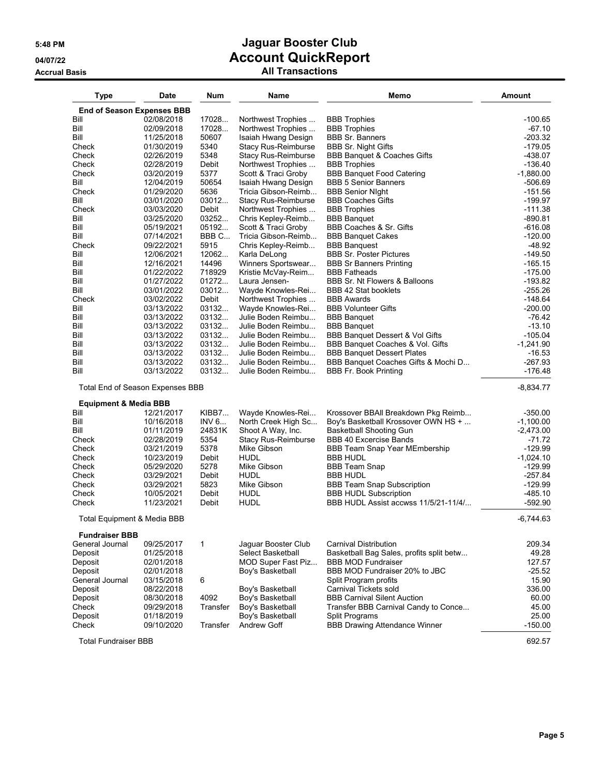## **5:48 PM Jaguar Booster Club 04/07/22 Account QuickReport Accrual Basis All Transactions**

| <b>Type</b>                            | Date                              | <b>Num</b>       | Name                                       | Memo                                                                       | <b>Amount</b>          |
|----------------------------------------|-----------------------------------|------------------|--------------------------------------------|----------------------------------------------------------------------------|------------------------|
|                                        | <b>End of Season Expenses BBB</b> |                  |                                            |                                                                            |                        |
| Bill                                   | 02/08/2018                        | 17028            | Northwest Trophies                         | <b>BBB</b> Trophies                                                        | $-100.65$              |
| Bill                                   | 02/09/2018                        | 17028            | Northwest Trophies                         | <b>BBB</b> Trophies                                                        | $-67.10$               |
| Bill                                   | 11/25/2018                        | 50607            | Isaiah Hwang Design                        | <b>BBB Sr. Banners</b>                                                     | $-203.32$              |
| Check                                  | 01/30/2019                        | 5340             | Stacy Rus-Reimburse                        | <b>BBB Sr. Night Gifts</b>                                                 | $-179.05$              |
| Check                                  | 02/26/2019                        | 5348             | <b>Stacy Rus-Reimburse</b>                 | <b>BBB Banquet &amp; Coaches Gifts</b>                                     | $-438.07$              |
| Check<br>Check                         | 02/28/2019                        | Debit<br>5377    | Northwest Trophies                         | <b>BBB</b> Trophies                                                        | $-136.40$              |
| Bill                                   | 03/20/2019<br>12/04/2019          | 50654            | Scott & Traci Groby<br>Isaiah Hwang Design | <b>BBB Banquet Food Catering</b><br><b>BBB 5 Senior Banners</b>            | $-1,880.00$<br>-506.69 |
| Check                                  | 01/29/2020                        | 5636             | Tricia Gibson-Reimb                        | <b>BBB Senior Night</b>                                                    | $-151.56$              |
| Bill                                   | 03/01/2020                        | 03012            | <b>Stacy Rus-Reimburse</b>                 | <b>BBB Coaches Gifts</b>                                                   | $-199.97$              |
| Check                                  | 03/03/2020                        | Debit            | Northwest Trophies                         | <b>BBB</b> Trophies                                                        | $-111.38$              |
| Bill                                   | 03/25/2020                        | 03252            | Chris Kepley-Reimb                         | <b>BBB Banquet</b>                                                         | $-890.81$              |
| Bill                                   | 05/19/2021                        | 05192            | Scott & Traci Groby                        | BBB Coaches & Sr. Gifts                                                    | $-616.08$              |
| Bill                                   | 07/14/2021                        | BBB C            | Tricia Gibson-Reimb                        | <b>BBB Banquet Cakes</b>                                                   | $-120.00$              |
| Check                                  | 09/22/2021                        | 5915             | Chris Kepley-Reimb                         | <b>BBB Banquest</b>                                                        | $-48.92$               |
| Bill                                   | 12/06/2021                        | 12062<br>14496   | Karla DeLong                               | <b>BBB Sr. Poster Pictures</b>                                             | $-149.50$              |
| Bill<br>Bill                           | 12/16/2021<br>01/22/2022          | 718929           | Winners Sportswear<br>Kristie McVay-Reim   | <b>BBB Sr Banners Printing</b><br><b>BBB Fatheads</b>                      | $-165.15$<br>$-175.00$ |
| Bill                                   | 01/27/2022                        | 01272            | Laura Jensen-                              | BBB Sr. Nt Flowers & Balloons                                              | $-193.82$              |
| Bill                                   | 03/01/2022                        | 03012            | Wayde Knowles-Rei                          | BBB 42 Stat booklets                                                       | $-255.26$              |
| Check                                  | 03/02/2022                        | Debit            | Northwest Trophies                         | <b>BBB Awards</b>                                                          | $-148.64$              |
| Bill                                   | 03/13/2022                        | 03132            | Wayde Knowles-Rei                          | <b>BBB Volunteer Gifts</b>                                                 | $-200.00$              |
| Bill                                   | 03/13/2022                        | 03132            | Julie Boden Reimbu                         | <b>BBB Banquet</b>                                                         | $-76.42$               |
| Bill                                   | 03/13/2022                        | 03132            | Julie Boden Reimbu                         | <b>BBB Banquet</b>                                                         | $-13.10$               |
| Bill                                   | 03/13/2022                        | 03132            | Julie Boden Reimbu                         | BBB Banquet Dessert & Vol Gifts                                            | $-105.04$              |
| Bill                                   | 03/13/2022                        | 03132            | Julie Boden Reimbu                         | BBB Banquet Coaches & Vol. Gifts                                           | $-1,241.90$            |
| Bill                                   | 03/13/2022                        | 03132<br>03132   | Julie Boden Reimbu<br>Julie Boden Reimbu   | <b>BBB Banquet Dessert Plates</b><br>BBB Banquet Coaches Gifts & Mochi D   | $-16.53$               |
| Bill<br>Bill                           | 03/13/2022<br>03/13/2022          | 03132            | Julie Boden Reimbu                         | <b>BBB Fr. Book Printing</b>                                               | $-267.93$<br>$-176.48$ |
|                                        | Total End of Season Expenses BBB  |                  |                                            |                                                                            | $-8,834.77$            |
| <b>Equipment &amp; Media BBB</b>       |                                   |                  |                                            |                                                                            |                        |
| Bill                                   | 12/21/2017                        | KIBB7            | Wayde Knowles-Rei                          | Krossover BBAII Breakdown Pkg Reimb                                        | $-350.00$              |
| Bill                                   | 10/16/2018                        | INV 6            | North Creek High Sc                        | Boy's Basketball Krossover OWN HS +                                        | $-1,100.00$            |
| Bill                                   | 01/11/2019                        | 24831K           | Shoot A Way, Inc.                          | <b>Basketball Shooting Gun</b>                                             | $-2,473.00$            |
| Check                                  | 02/28/2019                        | 5354             | <b>Stacy Rus-Reimburse</b>                 | <b>BBB 40 Excercise Bands</b>                                              | $-71.72$               |
| Check                                  | 03/21/2019                        | 5378             | Mike Gibson                                | BBB Team Snap Year MEmbership                                              | $-129.99$              |
| Check                                  | 10/23/2019                        | Debit            | <b>HUDL</b>                                | <b>BBB HUDL</b>                                                            | $-1,024.10$            |
| Check                                  | 05/29/2020                        | 5278             | Mike Gibson<br><b>HUDL</b>                 | <b>BBB Team Snap</b>                                                       | $-129.99$              |
| Check<br>Check                         | 03/29/2021<br>03/29/2021          | Debit<br>5823    | Mike Gibson                                | <b>BBB HUDL</b><br><b>BBB Team Snap Subscription</b>                       | $-257.84$<br>$-129.99$ |
| Check                                  | 10/05/2021                        | Debit            | <b>HUDL</b>                                | <b>BBB HUDL Subscription</b>                                               | $-485.10$              |
| Check                                  | 11/23/2021                        | Debit            | <b>HUDL</b>                                | BBB HUDL Assist accwss 11/5/21-11/4/                                       | $-592.90$              |
| <b>Total Equipment &amp; Media BBB</b> |                                   |                  |                                            |                                                                            | $-6,744.63$            |
| <b>Fundraiser BBB</b>                  |                                   |                  |                                            |                                                                            |                        |
| General Journal                        | 09/25/2017                        | $\mathbf 1$      | Jaguar Booster Club                        | Carnival Distribution                                                      | 209.34                 |
| Deposit                                | 01/25/2018                        |                  | Select Basketball                          | Basketball Bag Sales, profits split betw                                   | 49.28                  |
| Deposit                                | 02/01/2018                        |                  | MOD Super Fast Piz                         | <b>BBB MOD Fundraiser</b>                                                  | 127.57                 |
| Deposit                                | 02/01/2018                        |                  | Boy's Basketball                           | BBB MOD Fundraiser 20% to JBC                                              | $-25.52$               |
| General Journal                        | 03/15/2018                        | 6                |                                            | Split Program profits                                                      | 15.90                  |
| Deposit                                | 08/22/2018                        |                  | Boy's Basketball                           | Carnival Tickets sold                                                      | 336.00                 |
| Deposit<br>Check                       | 08/30/2018<br>09/29/2018          | 4092<br>Transfer | Boy's Basketball<br>Boy's Basketball       | <b>BBB Carnival Silent Auction</b><br>Transfer BBB Carnival Candy to Conce | 60.00<br>45.00         |
| Deposit                                | 01/18/2019                        |                  | Boy's Basketball                           | <b>Split Programs</b>                                                      | 25.00                  |
| Check                                  | 09/10/2020                        | Transfer         | Andrew Goff                                | <b>BBB Drawing Attendance Winner</b>                                       | $-150.00$              |
|                                        |                                   |                  |                                            |                                                                            |                        |
| <b>Total Fundraiser BBB</b>            |                                   |                  |                                            |                                                                            | 692.57                 |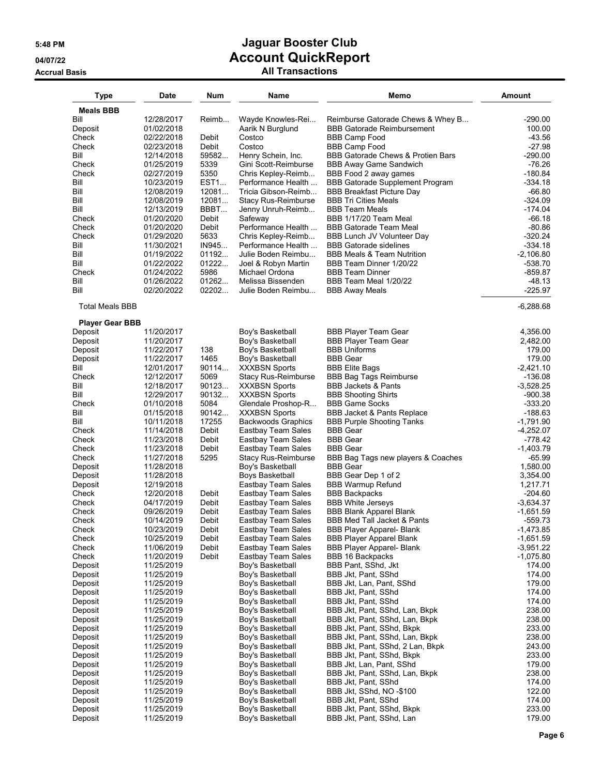| <b>Type</b>                       | Date                     | Num                 | Name                                        | Memo                                                                | Amount                   |
|-----------------------------------|--------------------------|---------------------|---------------------------------------------|---------------------------------------------------------------------|--------------------------|
| <b>Meals BBB</b>                  |                          |                     |                                             |                                                                     |                          |
| Bill                              | 12/28/2017               | Reimb               | Wayde Knowles-Rei                           | Reimburse Gatorade Chews & Whey B                                   | $-290.00$                |
| Deposit<br>Check                  | 01/02/2018<br>02/22/2018 | Debit               | Aarik N Burglund<br>Costco                  | <b>BBB Gatorade Reimbursement</b><br><b>BBB Camp Food</b>           | 100.00<br>$-43.56$       |
| Check                             | 02/23/2018               | Debit               | Costco                                      | <b>BBB Camp Food</b>                                                | $-27.98$                 |
| Bill                              | 12/14/2018               | 59582               | Henry Schein, Inc.                          | <b>BBB Gatorade Chews &amp; Protien Bars</b>                        | $-290.00$                |
| Check                             | 01/25/2019               | 5339                | Gini Scott-Reimburse                        | <b>BBB Away Game Sandwich</b>                                       | $-76.26$                 |
| Check<br>Bill                     | 02/27/2019<br>10/23/2019 | 5350<br><b>EST1</b> | Chris Kepley-Reimb<br>Performance Health    | BBB Food 2 away games<br>BBB Gatorade Supplement Program            | $-180.84$<br>$-334.18$   |
| Bill                              | 12/08/2019               | 12081               | Tricia Gibson-Reimb                         | <b>BBB Breakfast Picture Day</b>                                    | $-66.80$                 |
| Bill                              | 12/08/2019               | 12081               | <b>Stacy Rus-Reimburse</b>                  | <b>BBB Tri Cities Meals</b>                                         | $-324.09$                |
| Bill                              | 12/13/2019               | BBBT                | Jenny Unruh-Reimb                           | <b>BBB Team Meals</b>                                               | $-174.04$                |
| Check<br>Check                    | 01/20/2020<br>01/20/2020 | Debit<br>Debit      | Safeway<br>Performance Health               | BBB 1/17/20 Team Meal<br><b>BBB Gatorade Team Meal</b>              | $-66.18$<br>$-80.86$     |
| Check                             | 01/29/2020               | 5633                | Chris Kepley-Reimb                          | BBB Lunch JV Volunteer Day                                          | $-320.24$                |
| Bill                              | 11/30/2021               | IN945               | Performance Health                          | <b>BBB Gatorade sidelines</b>                                       | -334.18                  |
| Bill                              | 01/19/2022               | 01192               | Julie Boden Reimbu                          | <b>BBB Meals &amp; Team Nutrition</b>                               | $-2,106.80$              |
| Bill<br>Check                     | 01/22/2022<br>01/24/2022 | 01222<br>5986       | Joel & Robyn Martin<br>Michael Ordona       | BBB Team Dinner 1/20/22<br><b>BBB Team Dinner</b>                   | -538.70<br>-859.87       |
| Bill                              | 01/26/2022               | 01262               | Melissa Bissenden                           | BBB Team Meal 1/20/22                                               | $-48.13$                 |
| Bill                              | 02/20/2022               | 02202               | Julie Boden Reimbu                          | <b>BBB Away Meals</b>                                               | $-225.97$                |
| <b>Total Meals BBB</b>            |                          |                     |                                             |                                                                     | $-6,288.68$              |
| <b>Player Gear BBB</b><br>Deposit | 11/20/2017               |                     | Boy's Basketball                            | <b>BBB Player Team Gear</b>                                         | 4,356.00                 |
| Deposit                           | 11/20/2017               |                     | Boy's Basketball                            | <b>BBB Player Team Gear</b>                                         | 2,482.00                 |
| Deposit                           | 11/22/2017               | 138                 | Boy's Basketball                            | <b>BBB Uniforms</b>                                                 | 179.00                   |
| Deposit<br>Bill                   | 11/22/2017<br>12/01/2017 | 1465<br>90114       | Boy's Basketball                            | <b>BBB Gear</b><br><b>BBB Elite Bags</b>                            | 179.00<br>$-2,421.10$    |
| Check                             | 12/12/2017               | 5069                | <b>XXXBSN Sports</b><br>Stacy Rus-Reimburse | <b>BBB Bag Tags Reimburse</b>                                       | $-136.08$                |
| Bill                              | 12/18/2017               | 90123               | <b>XXXBSN Sports</b>                        | <b>BBB Jackets &amp; Pants</b>                                      | $-3,528.25$              |
| Bill                              | 12/29/2017               | 90132               | <b>XXXBSN Sports</b>                        | <b>BBB Shooting Shirts</b>                                          | $-900.38$                |
| Check<br>Bill                     | 01/10/2018<br>01/15/2018 | 5084<br>90142       | Glendale Proshop-R<br><b>XXXBSN Sports</b>  | <b>BBB Game Socks</b><br><b>BBB Jacket &amp; Pants Replace</b>      | $-333.20$<br>$-188.63$   |
| Bill                              | 10/11/2018               | 17255               | <b>Backwoods Graphics</b>                   | <b>BBB Purple Shooting Tanks</b>                                    | $-1,791.90$              |
| Check                             | 11/14/2018               | Debit               | Eastbay Team Sales                          | <b>BBB Gear</b>                                                     | -4,252.07                |
| Check                             | 11/23/2018               | Debit               | Eastbay Team Sales                          | <b>BBB Gear</b>                                                     | -778.42                  |
| Check<br>Check                    | 11/23/2018<br>11/27/2018 | Debit<br>5295       | Eastbay Team Sales<br>Stacy Rus-Reimburse   | <b>BBB Gear</b><br>BBB Bag Tags new players & Coaches               | $-1,403.79$<br>$-65.99$  |
| Deposit                           | 11/28/2018               |                     | Boy's Basketball                            | <b>BBB</b> Gear                                                     | 1,580.00                 |
| Deposit                           | 11/28/2018               |                     | <b>Boys Basketball</b>                      | BBB Gear Dep 1 of 2                                                 | 3,354.00                 |
| Deposit                           | 12/19/2018               |                     | Eastbay Team Sales                          | <b>BBB Warmup Refund</b>                                            | 1,217.71                 |
| Check<br>Check                    | 12/20/2018<br>04/17/2019 | Debit<br>Debit      | Eastbay Team Sales<br>Eastbay Team Sales    | <b>BBB Backpacks</b>                                                | -204.60<br>$-3,634.37$   |
| Check                             | 09/26/2019               | Debit               | Eastbay Team Sales                          | <b>BBB White Jerseys</b><br><b>BBB Blank Apparel Blank</b>          | $-1,651.59$              |
| Check                             | 10/14/2019               | Debit               | Eastbay Team Sales                          | BBB Med Tall Jacket & Pants                                         | $-559.73$                |
| Check                             | 10/23/2019               | Debit               | Eastbay Team Sales                          | <b>BBB Player Apparel- Blank</b>                                    | $-1,473.85$              |
| Check<br>Check                    | 10/25/2019               | Debit<br>Debit      | Eastbay Team Sales<br>Eastbay Team Sales    | <b>BBB Player Apparel Blank</b><br><b>BBB Player Apparel- Blank</b> | $-1,651.59$<br>-3,951.22 |
| Check                             | 11/06/2019<br>11/20/2019 | Debit               | Eastbay Team Sales                          | <b>BBB 16 Backpacks</b>                                             | $-1,075.80$              |
| Deposit                           | 11/25/2019               |                     | Boy's Basketball                            | BBB Pant, SShd, Jkt                                                 | 174.00                   |
| Deposit                           | 11/25/2019               |                     | Boy's Basketball                            | BBB Jkt, Pant, SShd                                                 | 174.00                   |
| Deposit                           | 11/25/2019               |                     | Boy's Basketball                            | BBB Jkt, Lan, Pant, SShd                                            | 179.00                   |
| Deposit<br>Deposit                | 11/25/2019<br>11/25/2019 |                     | Boy's Basketball<br>Boy's Basketball        | BBB Jkt, Pant, SShd<br>BBB Jkt, Pant, SShd                          | 174.00<br>174.00         |
| Deposit                           | 11/25/2019               |                     | Boy's Basketball                            | BBB Jkt, Pant, SShd, Lan, Bkpk                                      | 238.00                   |
| Deposit                           | 11/25/2019               |                     | Boy's Basketball                            | BBB Jkt, Pant, SShd, Lan, Bkpk                                      | 238.00                   |
| Deposit                           | 11/25/2019               |                     | Boy's Basketball                            | BBB Jkt, Pant, SShd, Bkpk                                           | 233.00                   |
| Deposit<br>Deposit                | 11/25/2019<br>11/25/2019 |                     | Boy's Basketball<br>Boy's Basketball        | BBB Jkt, Pant, SShd, Lan, Bkpk<br>BBB Jkt, Pant, SShd, 2 Lan, Bkpk  | 238.00<br>243.00         |
| Deposit                           | 11/25/2019               |                     | Boy's Basketball                            | BBB Jkt, Pant, SShd, Bkpk                                           | 233.00                   |
| Deposit                           | 11/25/2019               |                     | Boy's Basketball                            | BBB Jkt, Lan, Pant, SShd                                            | 179.00                   |
| Deposit                           | 11/25/2019               |                     | Boy's Basketball                            | BBB Jkt, Pant, SShd, Lan, Bkpk                                      | 238.00                   |
| Deposit<br>Deposit                | 11/25/2019               |                     | Boy's Basketball                            | BBB Jkt, Pant, SShd                                                 | 174.00<br>122.00         |
| Deposit                           | 11/25/2019<br>11/25/2019 |                     | Boy's Basketball<br>Boy's Basketball        | BBB Jkt, SShd, NO -\$100<br>BBB Jkt, Pant, SShd                     | 174.00                   |
| Deposit                           | 11/25/2019               |                     | Boy's Basketball                            | BBB Jkt, Pant, SShd, Bkpk                                           | 233.00                   |
| Deposit                           | 11/25/2019               |                     | Boy's Basketball                            | BBB Jkt, Pant, SShd, Lan                                            | 179.00                   |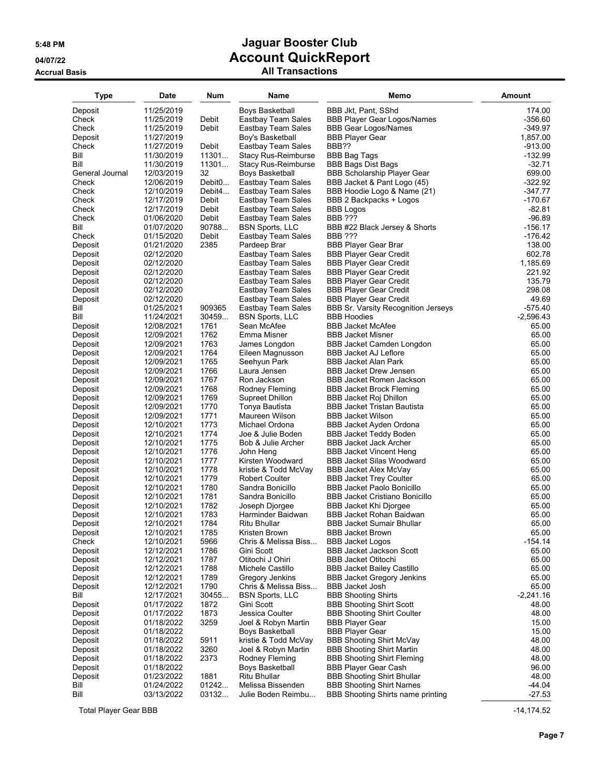## **Accrual Basis All Transactions**

| <b>Type</b>      | Date       | Num                | Name                      | Memo                                  | <b>Amount</b> |
|------------------|------------|--------------------|---------------------------|---------------------------------------|---------------|
| Deposit          | 11/25/2019 |                    | Boys Basketball           | BBB Jkt, Pant, SShd                   | 174.00        |
| Check            | 11/25/2019 | Debit              | Eastbay Team Sales        | <b>BBB Player Gear Logos/Names</b>    | $-356.60$     |
| Check            | 11/25/2019 | Debit              | Eastbay Team Sales        | <b>BBB Gear Logos/Names</b>           | -349.97       |
| Deposit          | 11/27/2019 |                    | Boy's Basketball          | <b>BBB Player Gear</b>                | 1,857.00      |
| Check            | 11/27/2019 | Debit              | Eastbay Team Sales        | BBB??                                 | -913.00       |
| Bill             | 11/30/2019 | 11301              | Stacy Rus-Reimburse       | <b>BBB Bag Tags</b>                   | $-132.99$     |
| Bill             |            |                    |                           |                                       | $-32.71$      |
|                  | 11/30/2019 | 11301              | Stacy Rus-Reimburse       | <b>BBB Bags Dist Bags</b>             |               |
| General Journal  | 12/03/2019 | 32                 | Boys Basketball           | <b>BBB Scholarship Player Gear</b>    | 699.00        |
| Check            | 12/06/2019 | Debit <sub>0</sub> | Eastbay Team Sales        | BBB Jacket & Pant Logo (45)           | $-322.92$     |
| Check            | 12/10/2019 | Debit4             | Eastbay Team Sales        | BBB Hoodie Logo & Name (21)           | $-347.77$     |
| Check            | 12/17/2019 | Debit              | Eastbay Team Sales        | BBB 2 Backpacks + Logos               | -170.67       |
| Check            | 12/17/2019 | Debit              | Eastbay Team Sales        | <b>BBB Logos</b>                      | $-82.81$      |
| Check            | 01/06/2020 | Debit              | Eastbay Team Sales        | <b>BBB ???</b>                        | $-96.89$      |
| Bill             | 01/07/2020 | 90788              | <b>BSN Sports, LLC</b>    | BBB #22 Black Jersey & Shorts         | $-156.17$     |
| Check            | 01/15/2020 | Debit              | <b>Eastbay Team Sales</b> | <b>BBB ???</b>                        | $-176.42$     |
| Deposit          | 01/21/2020 | 2385               | Pardeep Brar              | <b>BBB Player Gear Brar</b>           | 138.00        |
| Deposit          | 02/12/2020 |                    | Eastbay Team Sales        | <b>BBB Player Gear Credit</b>         | 602.78        |
| Deposit          | 02/12/2020 |                    | Eastbay Team Sales        | <b>BBB Player Gear Credit</b>         | 1,185.69      |
| Deposit          | 02/12/2020 |                    | Eastbay Team Sales        | <b>BBB Player Gear Credit</b>         | 221.92        |
| Deposit          | 02/12/2020 |                    | Eastbay Team Sales        | <b>BBB Player Gear Credit</b>         | 135.79        |
| Deposit          | 02/12/2020 |                    | Eastbay Team Sales        | <b>BBB Player Gear Credit</b>         | 298.08        |
| Deposit          | 02/12/2020 |                    | Eastbay Team Sales        | <b>BBB Player Gear Credit</b>         | 49.69         |
| Bill             | 01/25/2021 | 909365             | Eastbay Team Sales        | BBB Sr. Varsity Recognition Jerseys   | -575.40       |
| Bill             | 11/24/2021 | 30459              | <b>BSN Sports, LLC</b>    | <b>BBB Hoodies</b>                    | $-2,596.43$   |
| Deposit          | 12/08/2021 | 1761               | Sean McAfee               | <b>BBB Jacket McAfee</b>              | 65.00         |
| Deposit          | 12/09/2021 | 1762               | Emma Misner               | <b>BBB Jacket Misner</b>              | 65.00         |
| Deposit          | 12/09/2021 | 1763               | James Longdon             | BBB Jacket Camden Longdon             | 65.00         |
| Deposit          | 12/09/2021 | 1764               | Eileen Magnusson          | <b>BBB Jacket AJ Leflore</b>          | 65.00         |
| Deposit          | 12/09/2021 | 1765               | Seehyun Park              | <b>BBB Jacket Alan Park</b>           | 65.00         |
| Deposit          | 12/09/2021 | 1766               | Laura Jensen              | <b>BBB Jacket Drew Jensen</b>         | 65.00         |
| Deposit          | 12/09/2021 | 1767               | Ron Jackson               | BBB Jacket Romen Jackson              | 65.00         |
| Deposit          | 12/09/2021 | 1768               | Rodney Fleming            | <b>BBB Jacket Brock Fleming</b>       | 65.00         |
| Deposit          | 12/09/2021 | 1769               | Supreet Dhillon           | BBB Jacket Roj Dhillon                | 65.00         |
| Deposit          | 12/09/2021 | 1770               | Tonya Bautista            | BBB Jacket Tristan Bautista           | 65.00         |
| Deposit          | 12/09/2021 | 1771               | Maureen Wilson            | <b>BBB Jacket Wilson</b>              | 65.00         |
| Deposit          | 12/10/2021 | 1773               | Michael Ordona            | BBB Jacket Ayden Ordona               | 65.00         |
| Deposit          | 12/10/2021 | 1774               | Joe & Julie Boden         | BBB Jacket Teddy Boden                | 65.00         |
| Deposit          | 12/10/2021 | 1775               | Bob & Julie Archer        | <b>BBB Jacket Jack Archer</b>         | 65.00         |
| Deposit          | 12/10/2021 | 1776               | John Heng                 | <b>BBB Jacket Vincent Heng</b>        | 65.00         |
| Deposit          | 12/10/2021 | 1777               | Kirsten Woodward          | <b>BBB Jacket Silas Woodward</b>      | 65.00         |
| Deposit          | 12/10/2021 | 1778               | kristie & Todd McVav      | BBB Jacket Alex McVay                 | 65.00         |
| Deposit          | 12/10/2021 | 1779               | Robert Coulter            | <b>BBB Jacket Trey Coulter</b>        | 65.00         |
| Deposit          | 12/10/2021 | 1780               | Sandra Bonicillo          | <b>BBB Jacket Paolo Bonicillo</b>     | 65.00         |
| Deposit          | 12/10/2021 | 1781               | Sandra Bonicillo          | <b>BBB Jacket Cristiano Bonicillo</b> | 65.00         |
| Deposit          | 12/10/2021 | 1782               | Joseph Djorgee            | <b>BBB Jacket Khi Djorgee</b>         | 65.00         |
| Deposit          | 12/10/2021 | 1783               | Harminder Baidwan         | <b>BBB Jacket Rohan Baidwan</b>       | 65.00         |
| Deposit          | 12/10/2021 | 1784               | Ritu Bhullar              | BBB Jacket Sumair Bhullar             | 65.00         |
|                  | 12/10/2021 | 1785               | Kristen Brown             | <b>BBB Jacket Brown</b>               | 65.00         |
| Deposit<br>Check |            |                    |                           |                                       |               |
|                  | 12/10/2021 | 5966               | Chris & Melissa Biss      | <b>BBB Jacket Logos</b>               | $-154.14$     |
| Deposit          | 12/12/2021 | 1786               | Gini Scott                | <b>BBB Jacket Jackson Scott</b>       | 65.00         |
| Deposit          | 12/12/2021 | 1787               | Otitochi J Ohiri          | <b>BBB Jacket Otitochi</b>            | 65.00         |
| Deposit          | 12/12/2021 | 1788               | Michele Castillo          | <b>BBB Jacket Bailey Castillo</b>     | 65.00         |
| Deposit          | 12/12/2021 | 1789               | Gregory Jenkins           | BBB Jacket Gregory Jenkins            | 65.00         |
| Deposit          | 12/12/2021 | 1790               | Chris & Melissa Biss      | <b>BBB Jacket Josh</b>                | 65.00         |
| Bill             | 12/17/2021 | 30455              | <b>BSN Sports, LLC</b>    | <b>BBB Shooting Shirts</b>            | $-2,241.16$   |
| Deposit          | 01/17/2022 | 1872               | Gini Scott                | <b>BBB Shooting Shirt Scott</b>       | 48.00         |
| Deposit          | 01/17/2022 | 1873               | Jessica Coulter           | <b>BBB Shooting Shirt Coulter</b>     | 48.00         |
| Deposit          | 01/18/2022 | 3259               | Joel & Robyn Martin       | <b>BBB Player Gear</b>                | 15.00         |
| Deposit          | 01/18/2022 |                    | Boys Basketball           | <b>BBB Player Gear</b>                | 15.00         |
| Deposit          | 01/18/2022 | 5911               | kristie & Todd McVay      | <b>BBB Shooting Shirt McVay</b>       | 48.00         |
| Deposit          | 01/18/2022 | 3260               | Joel & Robyn Martin       | <b>BBB Shooting Shirt Martin</b>      | 48.00         |
| Deposit          | 01/18/2022 | 2373               | Rodney Fleming            | <b>BBB Shooting Shirt Fleming</b>     | 48.00         |
| Deposit          | 01/18/2022 |                    | Boys Basketball           | <b>BBB Player Gear Cash</b>           | 96.00         |
| Deposit          | 01/23/2022 | 1881               | Ritu Bhullar              | <b>BBB Shooting Shirt Bhullar</b>     | 48.00         |
| Bill             | 01/24/2022 | 01242              | Melissa Bissenden         | <b>BBB Shooting Shirt Names</b>       | $-44.04$      |
| Bill             | 03/13/2022 | 03132              | Julie Boden Reimbu        | BBB Shooting Shirts name printing     | $-27.53$      |

Total Player Gear BBB -14,174.52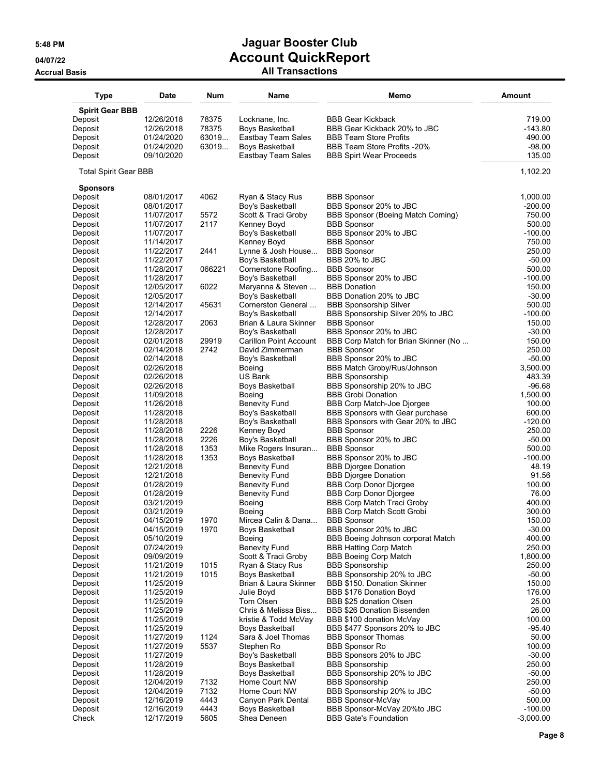| <b>Type</b>                  | <b>Date</b>              | <b>Num</b>   | Name                                       | Memo                                                           | Amount             |
|------------------------------|--------------------------|--------------|--------------------------------------------|----------------------------------------------------------------|--------------------|
| <b>Spirit Gear BBB</b>       |                          |              |                                            |                                                                |                    |
| Deposit                      | 12/26/2018               | 78375        | Locknane, Inc.                             | <b>BBB Gear Kickback</b>                                       | 719.00             |
| Deposit                      | 12/26/2018               | 78375        | Boys Basketball                            | BBB Gear Kickback 20% to JBC                                   | -143.80            |
| Deposit                      | 01/24/2020               | 63019        | Eastbay Team Sales                         | <b>BBB Team Store Profits</b>                                  | 490.00             |
| Deposit                      | 01/24/2020               | 63019        | <b>Boys Basketball</b>                     | BBB Team Store Profits -20%                                    | $-98.00$           |
| Deposit                      | 09/10/2020               |              | Eastbay Team Sales                         | <b>BBB Spirt Wear Proceeds</b>                                 | 135.00             |
| <b>Total Spirit Gear BBB</b> |                          |              |                                            |                                                                | 1,102.20           |
| <b>Sponsors</b><br>Deposit   | 08/01/2017               | 4062         | Ryan & Stacy Rus                           | <b>BBB Sponsor</b>                                             | 1,000.00           |
| Deposit                      | 08/01/2017               |              | Boy's Basketball                           | BBB Sponsor 20% to JBC                                         | $-200.00$          |
| Deposit                      | 11/07/2017               | 5572         | Scott & Traci Groby                        | BBB Sponsor (Boeing Match Coming)                              | 750.00             |
| Deposit                      | 11/07/2017               | 2117         | Kenney Boyd                                | <b>BBB Sponsor</b>                                             | 500.00             |
| Deposit                      | 11/07/2017               |              | Boy's Basketball                           | BBB Sponsor 20% to JBC                                         | -100.00            |
| Deposit                      | 11/14/2017<br>11/22/2017 | 2441         | Kenney Boyd                                | <b>BBB Sponsor</b><br><b>BBB Sponsor</b>                       | 750.00<br>250.00   |
| Deposit<br>Deposit           | 11/22/2017               |              | Lynne & Josh House<br>Boy's Basketball     | BBB 20% to JBC                                                 | $-50.00$           |
| Deposit                      | 11/28/2017               | 066221       | Cornerstone Roofing                        | <b>BBB Sponsor</b>                                             | 500.00             |
| Deposit                      | 11/28/2017               |              | Boy's Basketball                           | BBB Sponsor 20% to JBC                                         | $-100.00$          |
| Deposit                      | 12/05/2017               | 6022         | Maryanna & Steven                          | <b>BBB</b> Donation                                            | 150.00             |
| Deposit                      | 12/05/2017               |              | Boy's Basketball                           | BBB Donation 20% to JBC                                        | $-30.00$           |
| Deposit                      | 12/14/2017               | 45631        | Cornerston General                         | <b>BBB Sponsorship Silver</b>                                  | 500.00             |
| Deposit                      | 12/14/2017               |              | Boy's Basketball                           | BBB Sponsorship Silver 20% to JBC                              | $-100.00$          |
| Deposit                      | 12/28/2017               | 2063         | Brian & Laura Skinner                      | <b>BBB Sponsor</b>                                             | 150.00             |
| Deposit<br>Deposit           | 12/28/2017<br>02/01/2018 | 29919        | Boy's Basketball<br>Carillon Point Account | BBB Sponsor 20% to JBC<br>BBB Corp Match for Brian Skinner (No | $-30.00$<br>150.00 |
| Deposit                      | 02/14/2018               | 2742         | David Zimmerman                            | <b>BBB Sponsor</b>                                             | 250.00             |
| Deposit                      | 02/14/2018               |              | Boy's Basketball                           | BBB Sponsor 20% to JBC                                         | $-50.00$           |
| Deposit                      | 02/26/2018               |              | Boeing                                     | BBB Match Groby/Rus/Johnson                                    | 3,500.00           |
| Deposit                      | 02/26/2018               |              | US Bank                                    | <b>BBB Sponsorship</b>                                         | 483.39             |
| Deposit                      | 02/26/2018               |              | <b>Boys Basketball</b>                     | BBB Sponsorship 20% to JBC                                     | $-96.68$           |
| Deposit                      | 11/09/2018               |              | Boeing                                     | <b>BBB Grobi Donation</b>                                      | 1,500.00           |
| Deposit                      | 11/26/2018               |              | Benevity Fund                              | BBB Corp Match-Joe Djorgee                                     | 100.00             |
| Deposit                      | 11/28/2018               |              | Boy's Basketball                           | BBB Sponsors with Gear purchase                                | 600.00             |
| Deposit<br>Deposit           | 11/28/2018<br>11/28/2018 | 2226         | Boy's Basketball<br>Kenney Boyd            | BBB Sponsors with Gear 20% to JBC<br><b>BBB Sponsor</b>        | -120.00<br>250.00  |
| Deposit                      | 11/28/2018               | 2226         | Boy's Basketball                           | BBB Sponsor 20% to JBC                                         | $-50.00$           |
| Deposit                      | 11/28/2018               | 1353         | Mike Rogers Insuran                        | <b>BBB Sponsor</b>                                             | 500.00             |
| Deposit                      | 11/28/2018               | 1353         | Boys Basketball                            | BBB Sponsor 20% to JBC                                         | $-100.00$          |
| Deposit                      | 12/21/2018               |              | <b>Benevity Fund</b>                       | <b>BBB Djorgee Donation</b>                                    | 48.19              |
| Deposit                      | 12/21/2018               |              | <b>Benevity Fund</b>                       | <b>BBB Djorgee Donation</b>                                    | 91.56              |
| Deposit                      | 01/28/2019               |              | Benevity Fund                              | <b>BBB Corp Donor Djorgee</b>                                  | 100.00             |
| Deposit                      | 01/28/2019               |              | <b>Benevity Fund</b>                       | <b>BBB Corp Donor Djorgee</b>                                  | 76.00              |
| Deposit                      | 03/21/2019               |              | Boeing                                     | <b>BBB Corp Match Traci Groby</b>                              | 400.00             |
| Deposit<br>Deposit           | 03/21/2019<br>04/15/2019 | 1970         | Boeing<br>Mircea Calin & Dana              | <b>BBB Corp Match Scott Grobi</b><br><b>BBB Sponsor</b>        | 300.00<br>150.00   |
| Deposit                      | 04/15/2019               | 1970         | <b>Boys Basketball</b>                     | BBB Sponsor 20% to JBC                                         | $-30.00$           |
| Deposit                      | 05/10/2019               |              | Boeing                                     | BBB Boeing Johnson corporat Match                              | 400.00             |
| Deposit                      | 07/24/2019               |              | <b>Benevity Fund</b>                       | <b>BBB Hatting Corp Match</b>                                  | 250.00             |
| Deposit                      | 09/09/2019               |              | Scott & Traci Groby                        | <b>BBB Boeing Corp Match</b>                                   | 1,800.00           |
| Deposit                      | 11/21/2019               | 1015         | Ryan & Stacy Rus                           | <b>BBB Sponsorship</b>                                         | 250.00             |
| Deposit                      | 11/21/2019               | 1015         | Boys Basketball                            | BBB Sponsorship 20% to JBC                                     | $-50.00$           |
| Deposit                      | 11/25/2019               |              | Brian & Laura Skinner                      | BBB \$150. Donation Skinner                                    | 150.00             |
| Deposit                      | 11/25/2019               |              | Julie Boyd                                 | BBB \$176 Donation Boyd                                        | 176.00             |
| Deposit<br>Deposit           | 11/25/2019<br>11/25/2019 |              | Tom Olsen<br>Chris & Melissa Biss          | BBB \$25 donation Olsen<br>BBB \$26 Donation Bissenden         | 25.00<br>26.00     |
| Deposit                      | 11/25/2019               |              | kristie & Todd McVay                       | BBB \$100 donation McVay                                       | 100.00             |
| Deposit                      | 11/25/2019               |              | Boys Basketball                            | BBB \$477 Sponsors 20% to JBC                                  | $-95.40$           |
| Deposit                      | 11/27/2019               | 1124         | Sara & Joel Thomas                         | <b>BBB Sponsor Thomas</b>                                      | 50.00              |
| Deposit                      | 11/27/2019               | 5537         | Stephen Ro                                 | <b>BBB Sponsor Ro</b>                                          | 100.00             |
| Deposit                      | 11/27/2019               |              | Boy's Basketball                           | BBB Sponsors 20% to JBC                                        | $-30.00$           |
| Deposit                      | 11/28/2019               |              | Boys Basketball                            | <b>BBB Sponsorship</b>                                         | 250.00             |
| Deposit                      | 11/28/2019               |              | Boys Basketball                            | BBB Sponsorship 20% to JBC                                     | $-50.00$           |
| Deposit                      | 12/04/2019               | 7132         | Home Court NW                              | <b>BBB Sponsorship</b>                                         | 250.00             |
| Deposit                      | 12/04/2019               | 7132<br>4443 | Home Court NW                              | BBB Sponsorship 20% to JBC<br><b>BBB Sponsor-McVay</b>         | $-50.00$<br>500.00 |
| Deposit<br>Deposit           | 12/16/2019<br>12/16/2019 | 4443         | Canyon Park Dental<br>Boys Basketball      | BBB Sponsor-McVay 20%to JBC                                    | $-100.00$          |
| Check                        | 12/17/2019               | 5605         | Shea Deneen                                | <b>BBB Gate's Foundation</b>                                   | $-3,000.00$        |
|                              |                          |              |                                            |                                                                |                    |